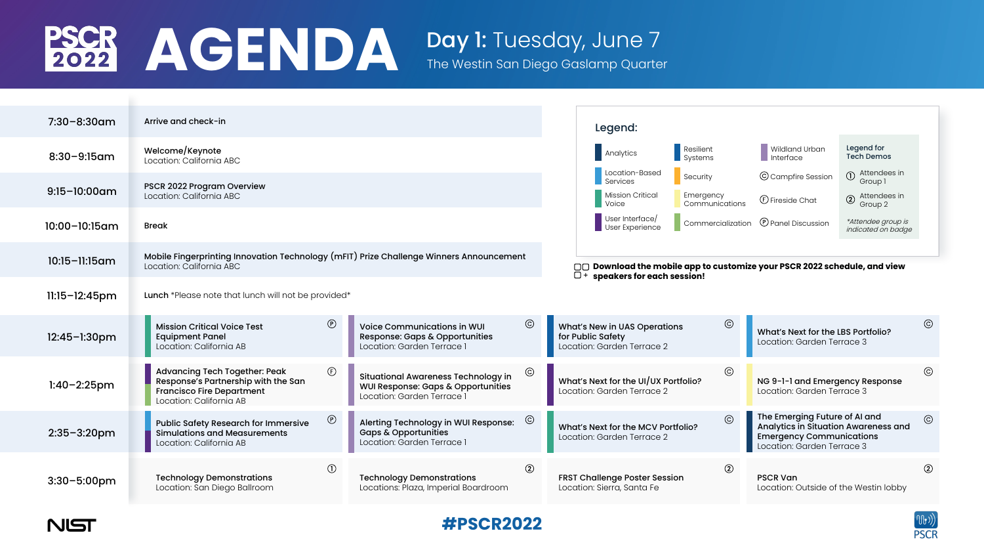

The Westin San Diego Gaslamp Quarter

| $7:30 - 8:30$ am   | Arrive and check-in                                                                                                                        |                            |                                                                                                                |  |  |  |  |
|--------------------|--------------------------------------------------------------------------------------------------------------------------------------------|----------------------------|----------------------------------------------------------------------------------------------------------------|--|--|--|--|
| $8:30 - 9:15$ am   | Welcome/Keynote<br>Location: California ABC                                                                                                |                            |                                                                                                                |  |  |  |  |
| $9:15-10:00$ am    | <b>PSCR 2022 Program Overview</b><br>Location: California ABC                                                                              |                            |                                                                                                                |  |  |  |  |
| 10:00-10:15am      | <b>Break</b>                                                                                                                               |                            |                                                                                                                |  |  |  |  |
| $10:15 - 11:15$ am | Mobile Fingerprinting Innovation Technology (mFIT) Prize Challenge Winners Announcement<br>Location: California ABC                        |                            |                                                                                                                |  |  |  |  |
| $11:15 - 12:45$ pm | <b>Lunch</b> *Please note that lunch will not be provided*                                                                                 |                            |                                                                                                                |  |  |  |  |
| $12:45 - 1:30$ pm  | <b>Mission Critical Voice Test</b><br><b>Equipment Panel</b><br>Location: California AB                                                    | $\circled{P}$              | <b>Voice Communications in WUI</b><br><b>Response: Gaps &amp; Opportunities</b><br>Location: Garden Terrace 1  |  |  |  |  |
| $1:40 - 2:25$ pm   | <b>Advancing Tech Together: Peak</b><br>Response's Partnership with the San<br><b>Francisco Fire Department</b><br>Location: California AB | $\bigoplus$                | <b>Situational Awareness Technology in</b><br>WUI Response: Gaps & Opportunities<br>Location: Garden Terrace 1 |  |  |  |  |
| $2:35 - 3:20$ pm   | <b>Public Safety Research for Immersive</b><br><b>Simulations and Measurements</b><br>Location: California AB                              | $\circled{P}$              | Alerting Technology in WUI Response:<br><b>Gaps &amp; Opportunities</b><br>Location: Garden Terrace 1          |  |  |  |  |
| $3:30 - 5:00$ pm   | <b>Technology Demonstrations</b><br>Location: San Diego Ballroom                                                                           | $\left( \mathrm{I}\right)$ | <b>Technology Demonstrations</b><br>Locations: Plaza, Imperial Boardroom                                       |  |  |  |  |









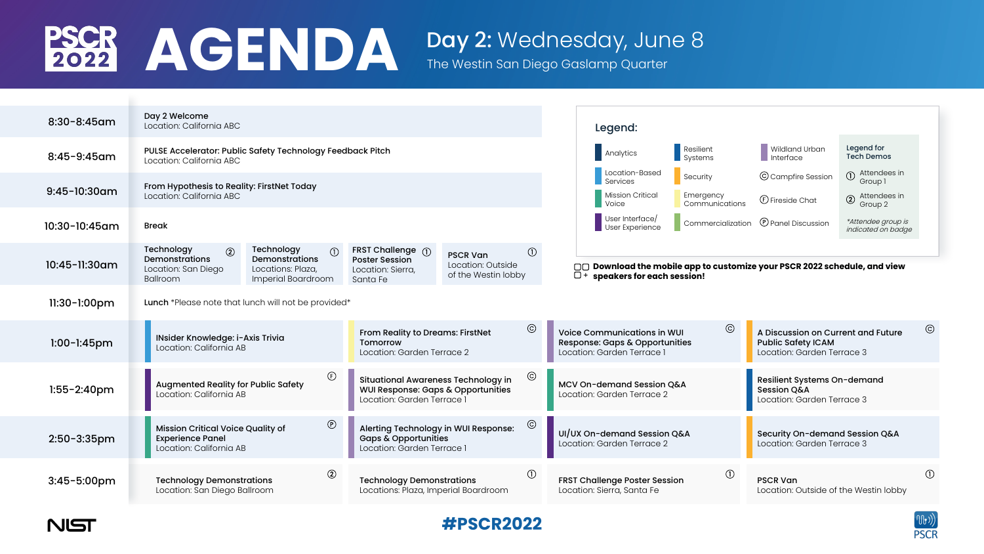

| $8:30 - 8:45$ am        | Day 2 Welcome<br>Location: California ABC                                                                                                                                                                         |                                                                                              |                                                                                                                          |                                                                           | Legend:                                                                                                          |                             |                                                              |                                          |
|-------------------------|-------------------------------------------------------------------------------------------------------------------------------------------------------------------------------------------------------------------|----------------------------------------------------------------------------------------------|--------------------------------------------------------------------------------------------------------------------------|---------------------------------------------------------------------------|------------------------------------------------------------------------------------------------------------------|-----------------------------|--------------------------------------------------------------|------------------------------------------|
| $8:45 - 9:45$ am        | <b>PULSE Accelerator: Public Safety Technology Feedback Pitch</b><br>Location: California ABC                                                                                                                     |                                                                                              |                                                                                                                          |                                                                           | Analytics                                                                                                        | Resilient<br>Systems        | Wildland Urban<br>Interface                                  | Legend for<br><b>Tech Demos</b>          |
| $9:45-10:30$ am         | From Hypothesis to Reality: FirstNet Today                                                                                                                                                                        |                                                                                              |                                                                                                                          |                                                                           | Location-Based<br>Services<br>Mission Critical                                                                   | Security                    | C Campfire Session                                           | Attendees in<br>$\bigcirc$<br>Group 1    |
|                         | Location: California ABC                                                                                                                                                                                          |                                                                                              |                                                                                                                          |                                                                           | <b>Voice</b>                                                                                                     | Emergency<br>Communications | <b><i>C</i></b> Fireside Chat                                | Attendees in<br>$\circled{2}$<br>Group 2 |
| $10:30-10:45$ am        | <b>Break</b>                                                                                                                                                                                                      |                                                                                              |                                                                                                                          |                                                                           | User Interface<br>User Experience                                                                                | Commercialization           | <b>P</b> Panel Discussion                                    | *Attendee group is<br>indicated on badge |
| 10:45-11:30am           | Technology<br>$\circled{2}$<br><b>Demonstrations</b><br>Location: San Diego<br><b>Ballroom</b>                                                                                                                    | Technology<br>$\bigcirc$<br><b>Demonstrations</b><br>Locations: Plaza,<br>Imperial Boardroom | FRST Challenge 1<br><b>Poster Session</b><br>Location: Sierra,<br>Santa Fe                                               | $\bigcirc$<br><b>PSCR Van</b><br>Location: Outside<br>of the Westin lobby | □□ Download the mobile app to customize your PSCR 2022 schedule, and view<br>$\Box$ + speakers for each session! |                             |                                                              |                                          |
| $11:30-1:00$ pm         | Lunch *Please note that lunch will not be provided*                                                                                                                                                               |                                                                                              |                                                                                                                          |                                                                           |                                                                                                                  |                             |                                                              |                                          |
| $1:00 - 1:45$ pm        | $\odot$<br><b>From Reality to Dreams: FirstNet</b><br><b>INsider Knowledge: i-Axis Trivia</b><br>Tomorrow<br>Location: California AB<br>Location: Garden Terrace 2                                                |                                                                                              | $\odot$<br><b>Voice Communications in WUI</b><br><b>Response: Gaps &amp; Opportunities</b><br>Location: Garden Terrace 1 |                                                                           | A Discussion on Current and Future<br><b>Public Safety ICAM</b><br>Location: Garden Terrace 3                    |                             |                                                              |                                          |
| $1:55 - 2:40$ pm        | $\odot$<br>$\bigoplus$<br><b>Situational Awareness Technology in</b><br><b>Augmented Reality for Public Safety</b><br>WUI Response: Gaps & Opportunities<br>Location: California AB<br>Location: Garden Terrace 1 |                                                                                              | <b>MCV On-demand Session Q&amp;A</b><br>Location: Garden Terrace 2                                                       |                                                                           | Resilient Systems On-demand<br><b>Session Q&amp;A</b><br>Location: Garden Terrace 3                              |                             |                                                              |                                          |
| $2:50 - 3:35$ pm        | <b>Mission Critical Voice Quality of</b><br><b>Experience Panel</b><br>Location: California AB                                                                                                                    | $\odot$                                                                                      | $\odot$<br>Alerting Technology in WUI Response:<br><b>Gaps &amp; Opportunities</b><br>Location: Garden Terrace 1         |                                                                           | UI/UX On-demand Session Q&A<br>Location: Garden Terrace 2                                                        |                             | Security On-demand Session Q&A<br>Location: Garden Terrace 3 |                                          |
| $3:45 - 5:00 \text{pm}$ | <b>Technology Demonstrations</b><br>Location: San Diego Ballroom                                                                                                                                                  | $\circled{2}$                                                                                | <b>Technology Demonstrations</b><br>Locations: Plaza, Imperial Boardroom                                                 | $\bigcirc$                                                                | <b>FRST Challenge Poster Session</b><br>Location: Sierra, Santa Fe                                               | $\left(1\right)$            | <b>PSCR Van</b><br>Location: Outside of the Westin lobby     |                                          |